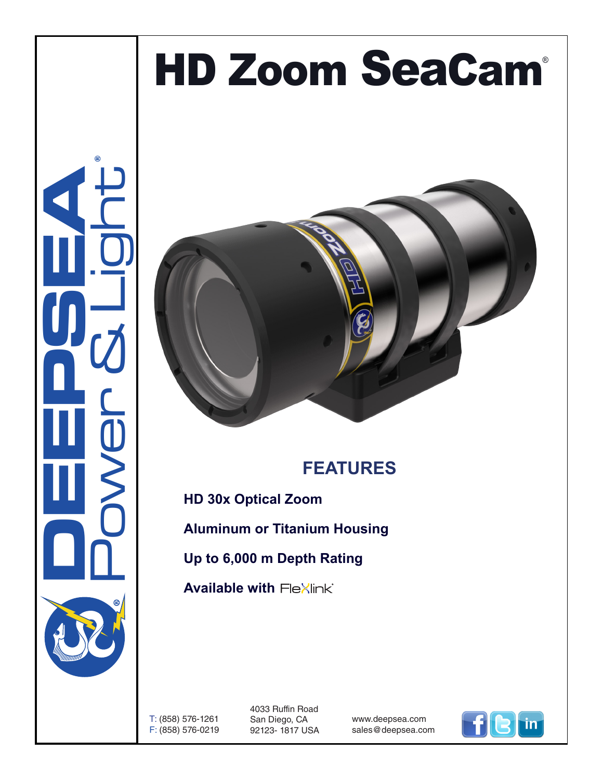## HD Zoom SeaCam®





## **FEATURES**

**HD 30x Optical Zoom**

**Aluminum or Titanium Housing**

**Up to 6,000 m Depth Rating**

**Available with Flexlink**®

T: (858) 576-1261 F: (858) 576-0219 4033 Ruffin Road San Diego, CA 92123- 1817 USA

www.deepsea.com sales@deepsea.com